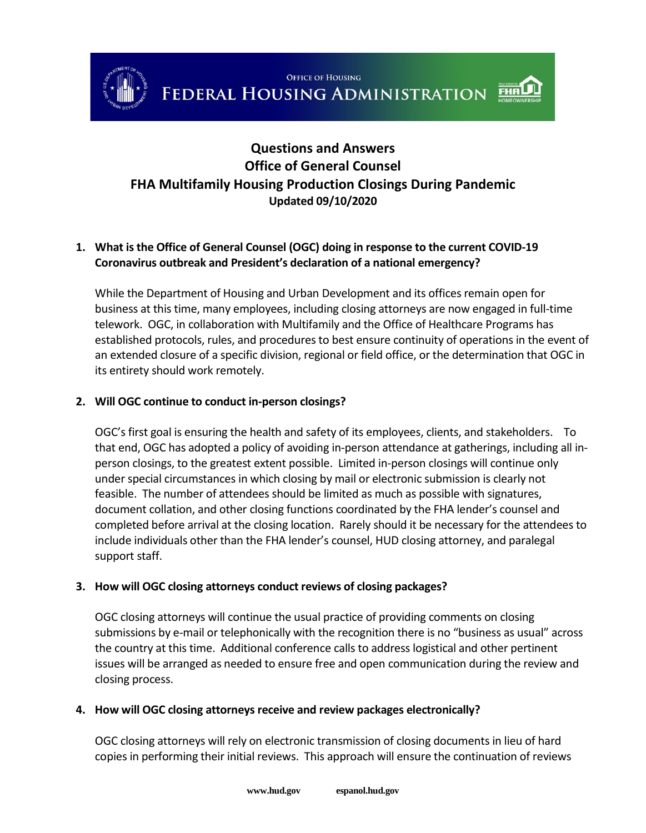



# **Questions and Answers Office of General Counsel FHA Multifamily Housing Production Closings During Pandemic Updated 09/10/2020**

# **1. What is the Office of General Counsel (OGC) doing in response to the current COVID-19 Coronavirus outbreak and President's declaration of a national emergency?**

While the Department of Housing and Urban Development and its offices remain open for business at this time, many employees, including closing attorneys are now engaged in full-time telework. OGC, in collaboration with Multifamily and the Office of Healthcare Programs has established protocols, rules, and procedures to best ensure continuity of operations in the event of an extended closure of a specific division, regional or field office, or the determination that OGC in its entirety should work remotely.

# **2. Will OGC continue to conduct in-person closings?**

OGC's first goal is ensuring the health and safety of its employees, clients, and stakeholders. To that end, OGC has adopted a policy of avoiding in-person attendance at gatherings, including all inperson closings, to the greatest extent possible. Limited in-person closings will continue only under special circumstances in which closing by mail or electronic submission is clearly not feasible. The number of attendees should be limited as much as possible with signatures, document collation, and other closing functions coordinated by the FHA lender's counsel and completed before arrival at the closing location. Rarely should it be necessary for the attendees to include individuals other than the FHA lender's counsel, HUD closing attorney, and paralegal support staff.

#### **3. How will OGC closing attorneys conduct reviews of closing packages?**

OGC closing attorneys will continue the usual practice of providing comments on closing submissions by e-mail or telephonically with the recognition there is no "business as usual" across the country at this time. Additional conference calls to address logistical and other pertinent issues will be arranged as needed to ensure free and open communication during the review and closing process.

#### **4. How will OGC closing attorneys receive and review packages electronically?**

OGC closing attorneys will rely on electronic transmission of closing documents in lieu of hard copies in performing their initial reviews. This approach will ensure the continuation of reviews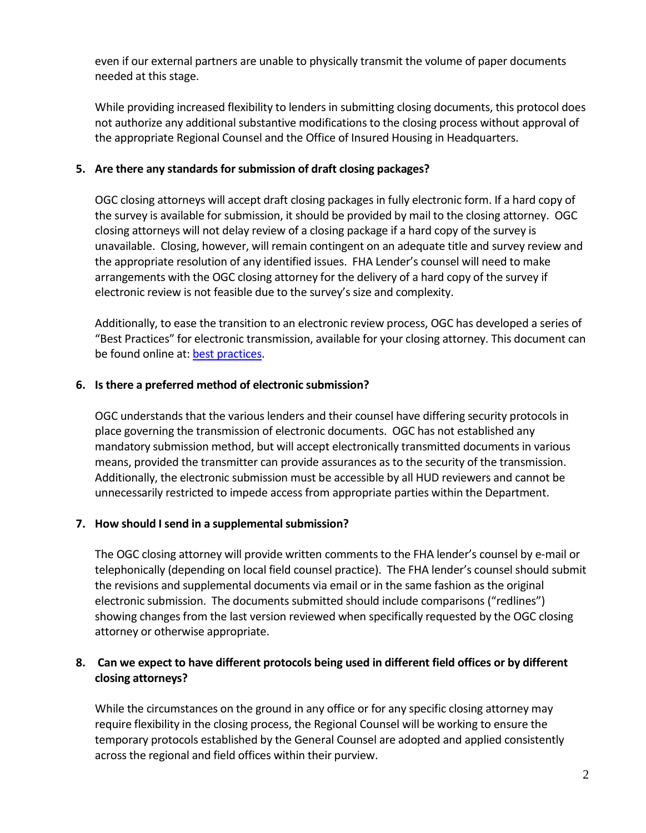even if our external partners are unable to physically transmit the volume of paper documents needed at this stage.

While providing increased flexibility to lenders in submitting closing documents, this protocol does not authorize any additional substantive modifications to the closing process without approval of the appropriate Regional Counsel and the Office of Insured Housing in Headquarters.

## **5. Are there any standards for submission of draft closing packages?**

OGC closing attorneys will accept draft closing packages in fully electronic form. If a hard copy of the survey is available for submission, it should be provided by mail to the closing attorney. OGC closing attorneys will not delay review of a closing package if a hard copy of the survey is unavailable. Closing, however, will remain contingent on an adequate title and survey review and the appropriate resolution of any identified issues. FHA Lender's counsel will need to make arrangements with the OGC closing attorney for the delivery of a hard copy of the survey if electronic review is not feasible due to the survey's size and complexity.

Additionally, to ease the transition to an electronic review process, OGC has developed a series of "Best Practices" for electronic transmission, available for your closing attorney. This document can be found online at[: best practices.](https://www.hud.gov/sites/dfiles/Housing/documents/Best_Practices_for_electronic_submission_for_MF_Closings_during_COVID-19_pandemic.pdf)

# **6. Is there a preferred method of electronic submission?**

OGC understands that the various lenders and their counsel have differing security protocols in place governing the transmission of electronic documents. OGC has not established any mandatory submission method, but will accept electronically transmitted documents in various means, provided the transmitter can provide assurances as to the security of the transmission. Additionally, the electronic submission must be accessible by all HUD reviewers and cannot be unnecessarily restricted to impede access from appropriate parties within the Department.

# **7. How should I send in a supplemental submission?**

The OGC closing attorney will provide written comments to the FHA lender's counsel by e-mail or telephonically (depending on local field counsel practice). The FHA lender's counsel should submit the revisions and supplemental documents via email or in the same fashion as the original electronic submission. The documents submitted should include comparisons ("redlines") showing changes from the last version reviewed when specifically requested by the OGC closing attorney or otherwise appropriate.

# **8. Can we expect to have different protocols being used in different field offices or by different closing attorneys?**

While the circumstances on the ground in any office or for any specific closing attorney may require flexibility in the closing process, the Regional Counsel will be working to ensure the temporary protocols established by the General Counsel are adopted and applied consistently across the regional and field offices within their purview.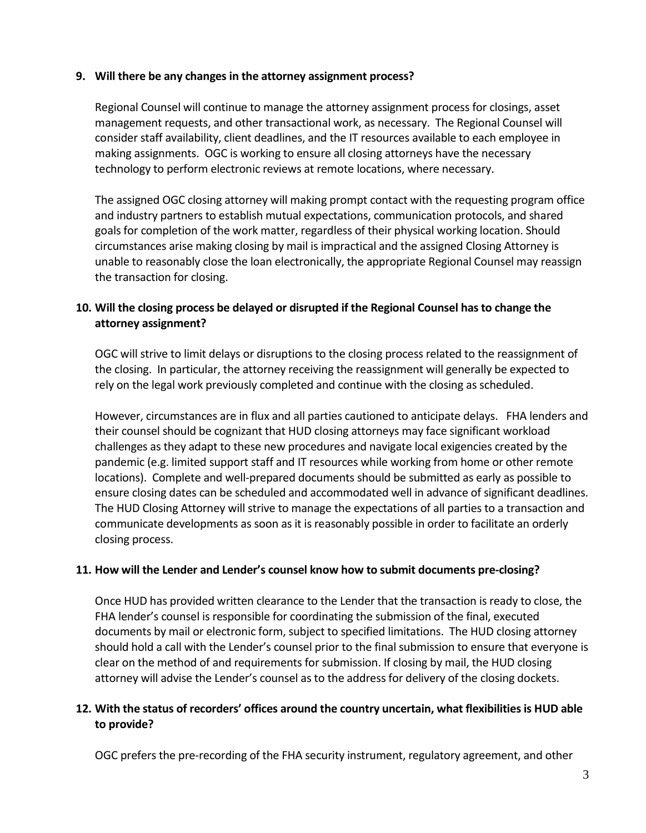#### **9. Will there be any changes in the attorney assignment process?**

Regional Counsel will continue to manage the attorney assignment process for closings, asset management requests, and other transactional work, as necessary. The Regional Counsel will consider staff availability, client deadlines, and the IT resources available to each employee in making assignments. OGC is working to ensure all closing attorneys have the necessary technology to perform electronic reviews at remote locations, where necessary.

The assigned OGC closing attorney will making prompt contact with the requesting program office and industry partners to establish mutual expectations, communication protocols, and shared goals for completion of the work matter, regardless of their physical working location. Should circumstances arise making closing by mail is impractical and the assigned Closing Attorney is unable to reasonably close the loan electronically, the appropriate Regional Counsel may reassign the transaction for closing.

## **10. Will the closing process be delayed or disrupted if the Regional Counsel has to change the attorney assignment?**

OGC will strive to limit delays or disruptions to the closing process related to the reassignment of the closing. In particular, the attorney receiving the reassignment will generally be expected to rely on the legal work previously completed and continue with the closing as scheduled.

However, circumstances are in flux and all parties cautioned to anticipate delays. FHA lenders and their counsel should be cognizant that HUD closing attorneys may face significant workload challenges as they adapt to these new procedures and navigate local exigencies created by the pandemic (e.g. limited support staff and IT resources while working from home or other remote locations). Complete and well-prepared documents should be submitted as early as possible to ensure closing dates can be scheduled and accommodated well in advance of significant deadlines. The HUD Closing Attorney will strive to manage the expectations of all parties to a transaction and communicate developments as soon as it is reasonably possible in order to facilitate an orderly closing process.

#### **11. How will the Lender and Lender's counsel know how to submit documents pre-closing?**

Once HUD has provided written clearance to the Lender that the transaction is ready to close, the FHA lender's counsel is responsible for coordinating the submission of the final, executed documents by mail or electronic form, subject to specified limitations. The HUD closing attorney should hold a call with the Lender's counsel prior to the final submission to ensure that everyone is clear on the method of and requirements for submission. If closing by mail, the HUD closing attorney will advise the Lender's counsel as to the address for delivery of the closing dockets.

#### **12. With the status of recorders' offices around the country uncertain, what flexibilities is HUD able to provide?**

OGC prefers the pre-recording of the FHA security instrument, regulatory agreement, and other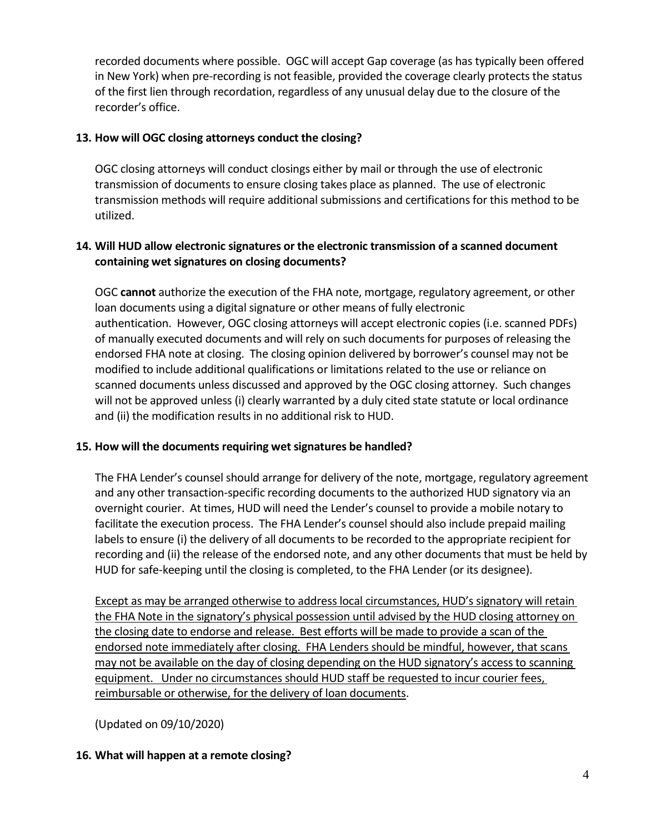recorded documents where possible. OGC will accept Gap coverage (as has typically been offered in New York) when pre-recording is not feasible, provided the coverage clearly protects the status of the first lien through recordation, regardless of any unusual delay due to the closure of the recorder's office.

#### **13. How will OGC closing attorneys conduct the closing?**

OGC closing attorneys will conduct closings either by mail or through the use of electronic transmission of documents to ensure closing takes place as planned. The use of electronic transmission methods will require additional submissions and certifications for this method to be utilized.

## **14. Will HUD allow electronic signatures or the electronic transmission of a scanned document containing wet signatures on closing documents?**

OGC **cannot** authorize the execution of the FHA note, mortgage, regulatory agreement, or other loan documents using a digital signature or other means of fully electronic authentication. However, OGC closing attorneys will accept electronic copies (i.e. scanned PDFs) of manually executed documents and will rely on such documents for purposes of releasing the endorsed FHA note at closing. The closing opinion delivered by borrower's counsel may not be modified to include additional qualifications or limitations related to the use or reliance on scanned documents unless discussed and approved by the OGC closing attorney. Such changes will not be approved unless (i) clearly warranted by a duly cited state statute or local ordinance and (ii) the modification results in no additional risk to HUD.

#### **15. How will the documents requiring wet signatures be handled?**

The FHA Lender's counsel should arrange for delivery of the note, mortgage, regulatory agreement and any other transaction-specific recording documents to the authorized HUD signatory via an overnight courier. At times, HUD will need the Lender's counsel to provide a mobile notary to facilitate the execution process. The FHA Lender's counsel should also include prepaid mailing labels to ensure (i) the delivery of all documents to be recorded to the appropriate recipient for recording and (ii) the release of the endorsed note, and any other documents that must be held by HUD for safe-keeping until the closing is completed, to the FHA Lender (or its designee).

Except as may be arranged otherwise to address local circumstances, HUD's signatory will retain the FHA Note in the signatory's physical possession until advised by the HUD closing attorney on the closing date to endorse and release. Best efforts will be made to provide a scan of the endorsed note immediately after closing. FHA Lenders should be mindful, however, that scans may not be available on the day of closing depending on the HUD signatory's access to scanning equipment. Under no circumstances should HUD staff be requested to incur courier fees, reimbursable or otherwise, for the delivery of loan documents.

(Updated on 09/10/2020)

#### **16. What will happen at a remote closing?**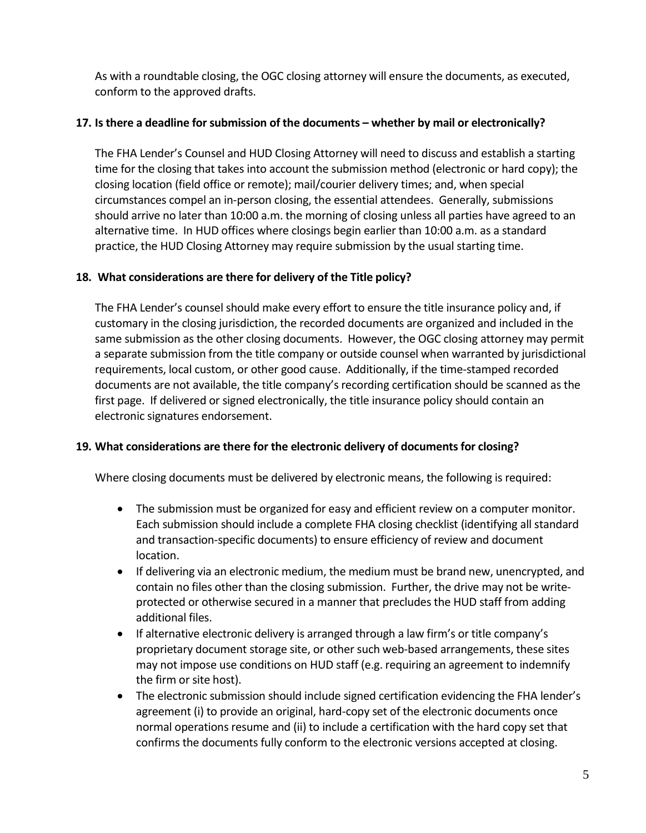As with a roundtable closing, the OGC closing attorney will ensure the documents, as executed, conform to the approved drafts.

# **17. Is there a deadline for submission of the documents – whether by mail or electronically?**

The FHA Lender's Counsel and HUD Closing Attorney will need to discuss and establish a starting time for the closing that takes into account the submission method (electronic or hard copy); the closing location (field office or remote); mail/courier delivery times; and, when special circumstances compel an in-person closing, the essential attendees. Generally, submissions should arrive no later than 10:00 a.m. the morning of closing unless all parties have agreed to an alternative time. In HUD offices where closings begin earlier than 10:00 a.m. as a standard practice, the HUD Closing Attorney may require submission by the usual starting time.

# **18. What considerations are there for delivery of the Title policy?**

The FHA Lender's counsel should make every effort to ensure the title insurance policy and, if customary in the closing jurisdiction, the recorded documents are organized and included in the same submission as the other closing documents. However, the OGC closing attorney may permit a separate submission from the title company or outside counsel when warranted by jurisdictional requirements, local custom, or other good cause. Additionally, if the time-stamped recorded documents are not available, the title company's recording certification should be scanned as the first page. If delivered or signed electronically, the title insurance policy should contain an electronic signatures endorsement.

#### **19. What considerations are there for the electronic delivery of documents for closing?**

Where closing documents must be delivered by electronic means, the following is required:

- The submission must be organized for easy and efficient review on a computer monitor. Each submission should include a complete FHA closing checklist (identifying all standard and transaction-specific documents) to ensure efficiency of review and document location.
- If delivering via an electronic medium, the medium must be brand new, unencrypted, and contain no files other than the closing submission. Further, the drive may not be writeprotected or otherwise secured in a manner that precludes the HUD staff from adding additional files.
- If alternative electronic delivery is arranged through a law firm's or title company's proprietary document storage site, or other such web-based arrangements, these sites may not impose use conditions on HUD staff (e.g. requiring an agreement to indemnify the firm or site host).
- The electronic submission should include signed certification evidencing the FHA lender's agreement (i) to provide an original, hard-copy set of the electronic documents once normal operations resume and (ii) to include a certification with the hard copy set that confirms the documents fully conform to the electronic versions accepted at closing.